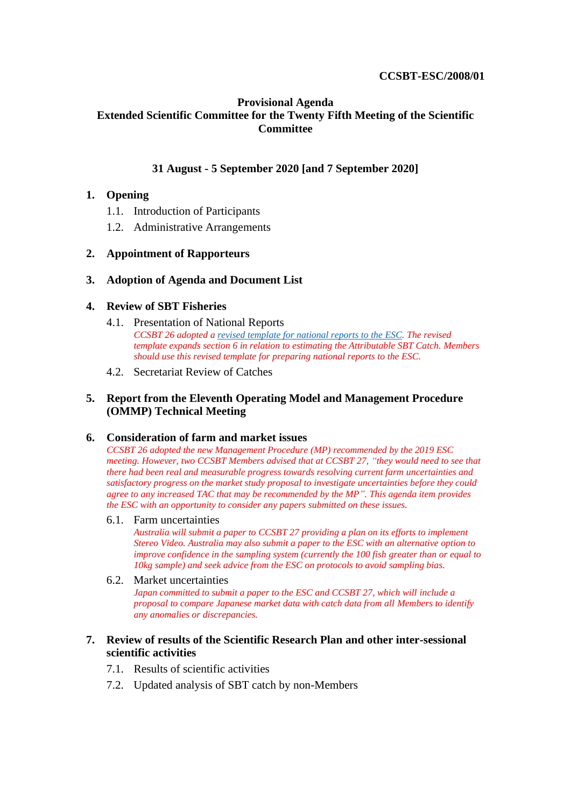# **CCSBT-ESC/2008/01**

# **Provisional Agenda Extended Scientific Committee for the Twenty Fifth Meeting of the Scientific Committee**

# **31 August - 5 September 2020 [and 7 September 2020]**

# **1. Opening**

- 1.1. Introduction of Participants
- 1.2. Administrative Arrangements

# **2. Appointment of Rapporteurs**

#### **3. Adoption of Agenda and Document List**

# **4. Review of SBT Fisheries**

- 4.1. Presentation of National Reports *CCSBT 26 adopted [a revised template for national reports to the ESC.](https://www.ccsbt.org/sites/default/files/userfiles/file/templates/Annual%20Report%20to%20ESC.docx) The revised template expands section 6 in relation to estimating the Attributable SBT Catch. Members should use this revised template for preparing national reports to the ESC.*
- 4.2. Secretariat Review of Catches

# **5. Report from the Eleventh Operating Model and Management Procedure (OMMP) Technical Meeting**

#### **6. Consideration of farm and market issues**

*CCSBT 26 adopted the new Management Procedure (MP) recommended by the 2019 ESC meeting. However, two CCSBT Members advised that at CCSBT 27, "they would need to see that there had been real and measurable progress towards resolving current farm uncertainties and satisfactory progress on the market study proposal to investigate uncertainties before they could agree to any increased TAC that may be recommended by the MP". This agenda item provides the ESC with an opportunity to consider any papers submitted on these issues.*

#### 6.1. Farm uncertainties

*Australia will submit a paper to CCSBT 27 providing a plan on its efforts to implement Stereo Video. Australia may also submit a paper to the ESC with an alternative option to improve confidence in the sampling system (currently the 100 fish greater than or equal to 10kg sample) and seek advice from the ESC on protocols to avoid sampling bias.*

#### 6.2. Market uncertainties

*Japan committed to submit a paper to the ESC and CCSBT 27, which will include a proposal to compare Japanese market data with catch data from all Members to identify any anomalies or discrepancies.*

#### **7. Review of results of the Scientific Research Plan and other inter-sessional scientific activities**

- 7.1. Results of scientific activities
- 7.2. Updated analysis of SBT catch by non-Members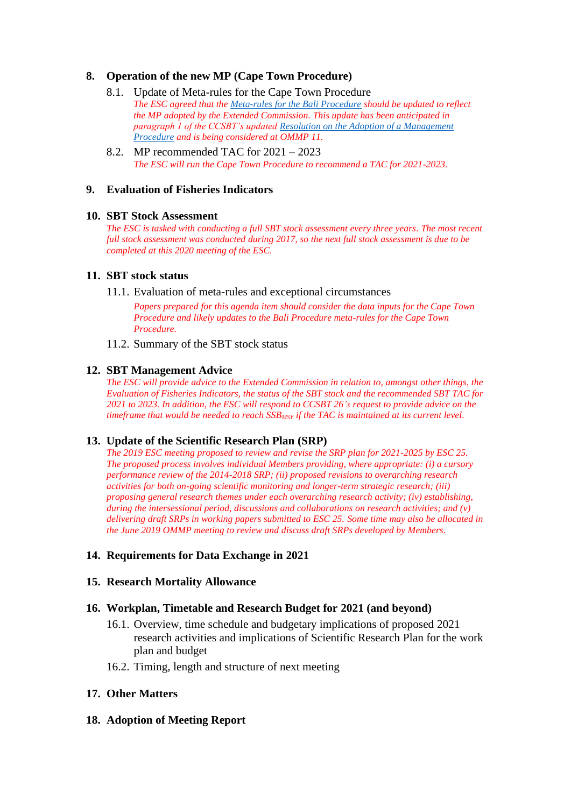# **8. Operation of the new MP (Cape Town Procedure)**

- 8.1. Update of Meta-rules for the Cape Town Procedure *The ESC agreed that the [Meta-rules for the Bali Procedure](https://www.ccsbt.org/sites/ccsbt.org/files/userfiles/file/docs_english/general/MP_Specifications.pdf) should be updated to reflect the MP adopted by the Extended Commission. This update has been anticipated in paragraph 1 of the CCSBT's update[d Resolution on the Adoption of a Management](https://www.ccsbt.org/sites/ccsbt.org/files/userfiles/file/docs_english/operational_resolutions/Resolution_Management_Procedure.pdf)  [Procedure](https://www.ccsbt.org/sites/ccsbt.org/files/userfiles/file/docs_english/operational_resolutions/Resolution_Management_Procedure.pdf) and is being considered at OMMP 11.*
- 8.2. MP recommended TAC for 2021 2023 *The ESC will run the Cape Town Procedure to recommend a TAC for 2021-2023.*

#### **9. Evaluation of Fisheries Indicators**

#### **10. SBT Stock Assessment**

*The ESC is tasked with conducting a full SBT stock assessment every three years. The most recent full stock assessment was conducted during 2017, so the next full stock assessment is due to be completed at this 2020 meeting of the ESC.*

#### **11. SBT stock status**

11.1. Evaluation of meta-rules and exceptional circumstances

*Papers prepared for this agenda item should consider the data inputs for the Cape Town Procedure and likely updates to the Bali Procedure meta-rules for the Cape Town Procedure.*

11.2. Summary of the SBT stock status

#### **12. SBT Management Advice**

*The ESC will provide advice to the Extended Commission in relation to, amongst other things, the Evaluation of Fisheries Indicators, the status of the SBT stock and the recommended SBT TAC for 2021 to 2023. In addition, the ESC will respond to CCSBT 26's request to provide advice on the timeframe that would be needed to reach SSBMSY if the TAC is maintained at its current level.*

# **13. Update of the Scientific Research Plan (SRP)**

*The 2019 ESC meeting proposed to review and revise the SRP plan for 2021-2025 by ESC 25. The proposed process involves individual Members providing, where appropriate: (i) a cursory performance review of the 2014-2018 SRP; (ii) proposed revisions to overarching research activities for both on-going scientific monitoring and longer-term strategic research; (iii) proposing general research themes under each overarching research activity; (iv) establishing, during the intersessional period, discussions and collaborations on research activities; and (v) delivering draft SRPs in working papers submitted to ESC 25. Some time may also be allocated in the June 2019 OMMP meeting to review and discuss draft SRPs developed by Members.*

# **14. Requirements for Data Exchange in 2021**

#### **15. Research Mortality Allowance**

# **16. Workplan, Timetable and Research Budget for 2021 (and beyond)**

- 16.1. Overview, time schedule and budgetary implications of proposed 2021 research activities and implications of Scientific Research Plan for the work plan and budget
- 16.2. Timing, length and structure of next meeting

# **17. Other Matters**

# **18. Adoption of Meeting Report**